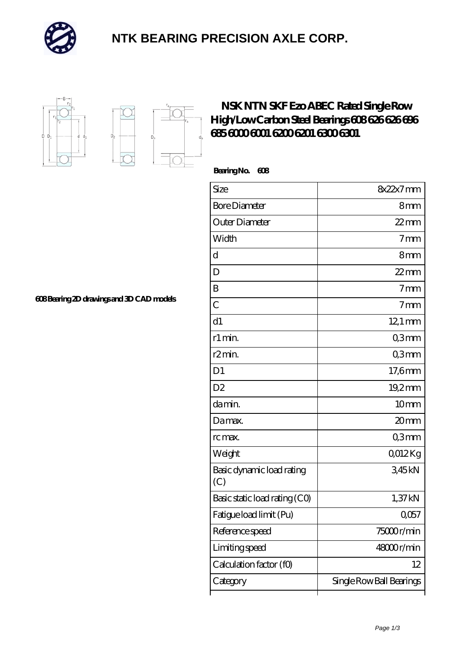

## **[NTK BEARING PRECISION AXLE CORP.](https://m.simonshaus.com)**





## **[NSK NTN SKF Ezo ABEC Rated Single Row](https://m.simonshaus.com/bh-65282652-nsk-ntn-skf-ezo-abec-rated-single-row-high-low-carbon-steel-bearings-608-626-626-696-685-6000-6001-6200-6201-6300-6301.html) [High/Low Carbon Steel Bearings 608 626 626 696](https://m.simonshaus.com/bh-65282652-nsk-ntn-skf-ezo-abec-rated-single-row-high-low-carbon-steel-bearings-608-626-626-696-685-6000-6001-6200-6201-6300-6301.html) [685 6000 6001 6200 6201 6300 6301](https://m.simonshaus.com/bh-65282652-nsk-ntn-skf-ezo-abec-rated-single-row-high-low-carbon-steel-bearings-608-626-626-696-685-6000-6001-6200-6201-6300-6301.html)**

 **Bearing No. 608**

ľ

| Size                             | 8x22x7mm                        |
|----------------------------------|---------------------------------|
| <b>Bore Diameter</b>             | 8mm                             |
| Outer Diameter                   | $22$ mm                         |
| Width                            | $7 \text{mm}$                   |
| d                                | 8mm                             |
| D                                | $22$ mm                         |
| B                                | 7 <sub>mm</sub>                 |
| $\overline{C}$                   | $7 \text{mm}$                   |
| d1                               | $12.1 \text{ mm}$               |
| r1 min.                          | Q3mm                            |
| r2min.                           | Q3mm                            |
| D <sub>1</sub>                   | 17,6mm                          |
| D <sub>2</sub>                   | 19,2mm                          |
| da min.                          | 10mm                            |
| Damax.                           | 20mm                            |
| rc max.                          | Q3mm                            |
| Weight                           | 0012Kg                          |
| Basic dynamic load rating<br>(C) | 345kN                           |
| Basic static load rating (CO)    | 1,37 kN                         |
| Fatigue load limit (Pu)          | $Q$ <sup><math>057</math></sup> |
| Reference speed                  | 75000r/min                      |
| Limiting speed                   | 48000r/min                      |
| Calculation factor (f0)          | 12                              |
| Category                         | Single Row Ball Bearings        |

**[608 Bearing 2D drawings and 3D CAD models](https://m.simonshaus.com/pic-65282652.html)**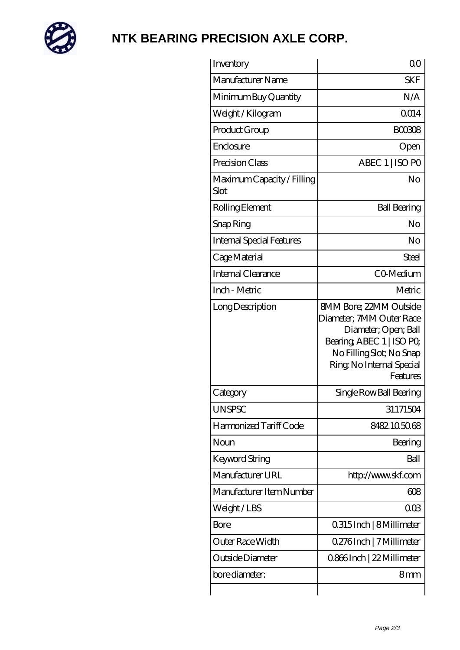

## **[NTK BEARING PRECISION AXLE CORP.](https://m.simonshaus.com)**

| Inventory                          | 0 <sup>0</sup>                                                                                                                                                                     |
|------------------------------------|------------------------------------------------------------------------------------------------------------------------------------------------------------------------------------|
| Manufacturer Name                  | <b>SKF</b>                                                                                                                                                                         |
| Minimum Buy Quantity               | N/A                                                                                                                                                                                |
| Weight / Kilogram                  | 0014                                                                                                                                                                               |
| Product Group                      | <b>BOO308</b>                                                                                                                                                                      |
| Enclosure                          | Open                                                                                                                                                                               |
| Precision Class                    | ABEC 1   ISO PO                                                                                                                                                                    |
| Maximum Capacity / Filling<br>Slot | No                                                                                                                                                                                 |
| Rolling Element                    | <b>Ball Bearing</b>                                                                                                                                                                |
| Snap Ring                          | No                                                                                                                                                                                 |
| Internal Special Features          | No                                                                                                                                                                                 |
| Cage Material                      | Steel                                                                                                                                                                              |
| Internal Clearance                 | CO-Medium                                                                                                                                                                          |
| Inch - Metric                      | Metric                                                                                                                                                                             |
| Long Description                   | <b>8MM Bore: 22MM Outside</b><br>Diameter; 7MM Outer Race<br>Diameter; Open; Ball<br>Bearing, ABEC 1   ISO PO<br>No Filling Slot; No Snap<br>Ring, No Internal Special<br>Features |
| Category                           | Single Row Ball Bearing                                                                                                                                                            |
| <b>UNSPSC</b>                      | 31171504                                                                                                                                                                           |
| Harmonized Tariff Code             | 8482105068                                                                                                                                                                         |
| Noun                               | Bearing                                                                                                                                                                            |
| Keyword String                     | Ball                                                                                                                                                                               |
| Manufacturer URL                   | http://www.skf.com                                                                                                                                                                 |
| Manufacturer Item Number           | 608                                                                                                                                                                                |
| Weight / LBS                       | $00\Omega$                                                                                                                                                                         |
| Bore                               | 0.315 Inch   8 Millimeter                                                                                                                                                          |
| Outer Race Width                   | 0.276Inch   7 Millimeter                                                                                                                                                           |
| Outside Diameter                   | 0.866Inch   22 Millimeter                                                                                                                                                          |
| bore diameter:                     | 8mm                                                                                                                                                                                |
|                                    |                                                                                                                                                                                    |